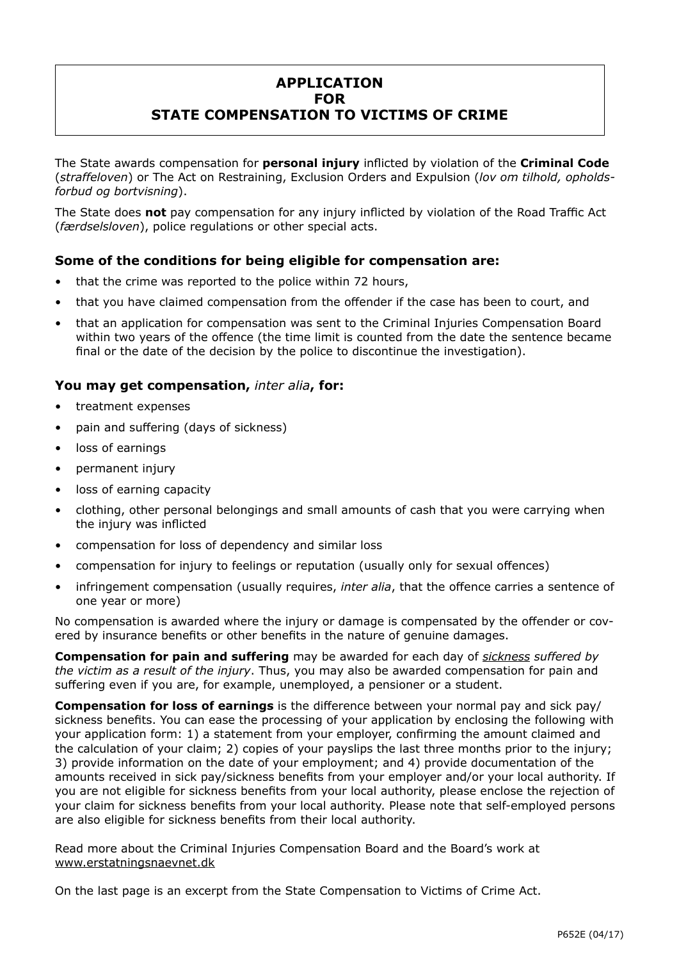# **APPLICATION FOR STATE COMPENSATION TO VICTIMS OF CRIME**

The State awards compensation for **personal injury** inflicted by violation of the **Criminal Code** (*straffeloven*) or The Act on Restraining, Exclusion Orders and Expulsion (*lov om tilhold, opholdsforbud og bortvisning*).

The State does **not** pay compensation for any injury inflicted by violation of the Road Traffic Act (*færdselsloven*), police regulations or other special acts.

# **Some of the conditions for being eligible for compensation are:**

- that the crime was reported to the police within 72 hours,
- that you have claimed compensation from the offender if the case has been to court, and
- that an application for compensation was sent to the Criminal Injuries Compensation Board within two years of the offence (the time limit is counted from the date the sentence became final or the date of the decision by the police to discontinue the investigation).

# **You may get compensation,** *inter alia***, for:**

- treatment expenses
- pain and suffering (days of sickness)
- loss of earnings
- permanent injury
- loss of earning capacity
- clothing, other personal belongings and small amounts of cash that you were carrying when the injury was inflicted
- compensation for loss of dependency and similar loss
- compensation for injury to feelings or reputation (usually only for sexual offences)
- infringement compensation (usually requires, *inter alia*, that the offence carries a sentence of one year or more)

No compensation is awarded where the injury or damage is compensated by the offender or covered by insurance benefits or other benefits in the nature of genuine damages.

**Compensation for pain and suffering** may be awarded for each day of *sickness suffered by the victim as a result of the injury*. Thus, you may also be awarded compensation for pain and suffering even if you are, for example, unemployed, a pensioner or a student.

**Compensation for loss of earnings** is the difference between your normal pay and sick pay/ sickness benefits. You can ease the processing of your application by enclosing the following with your application form: 1) a statement from your employer, confirming the amount claimed and the calculation of your claim; 2) copies of your payslips the last three months prior to the injury; 3) provide information on the date of your employment; and 4) provide documentation of the amounts received in sick pay/sickness benefits from your employer and/or your local authority. If you are not eligible for sickness benefits from your local authority, please enclose the rejection of your claim for sickness benefits from your local authority. Please note that self-employed persons are also eligible for sickness benefits from their local authority.

Read more about the Criminal Injuries Compensation Board and the Board's work at [www.erstatningsnaevnet.dk](http://www.erstatningsnaevnet.dk)

On the last page is an excerpt from the State Compensation to Victims of Crime Act.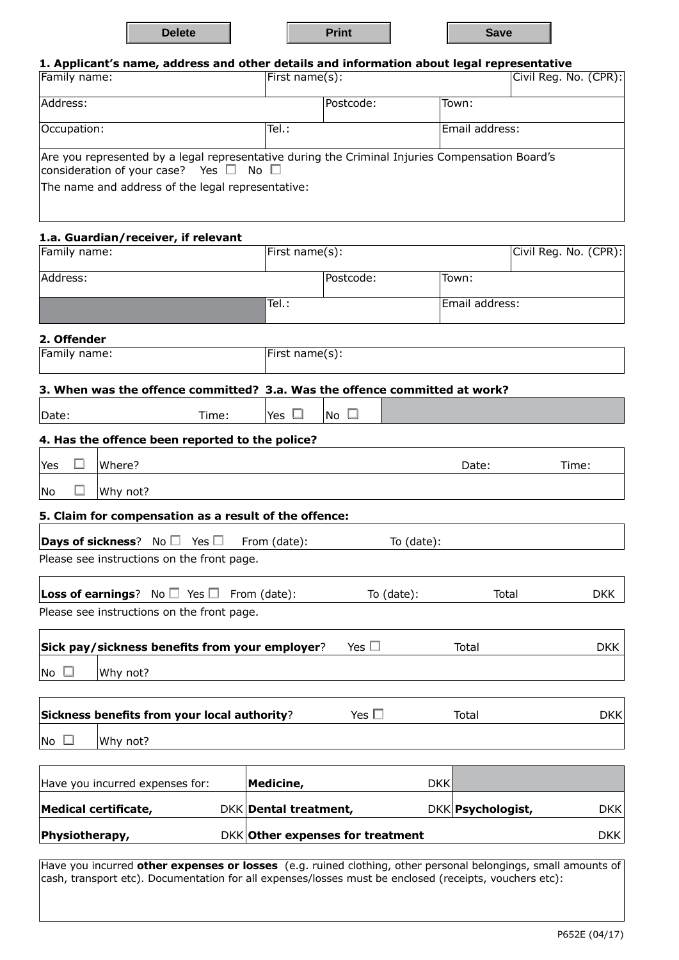| <b>Delete</b> | Print | Save |
|---------------|-------|------|
|               |       |      |

| 1. Applicant's name, address and other details and information about legal representative |  |  |  |  |  |
|-------------------------------------------------------------------------------------------|--|--|--|--|--|
|-------------------------------------------------------------------------------------------|--|--|--|--|--|

| Family name:                                                                                                                                 | First name(s): |           | $ Civi $ Reg. No. $(CPR): $ |  |
|----------------------------------------------------------------------------------------------------------------------------------------------|----------------|-----------|-----------------------------|--|
| Address:                                                                                                                                     |                | Postcode: | Town:                       |  |
| Occupation:                                                                                                                                  | Tel.:          |           | Email address:              |  |
| Are you represented by a legal representative during the Criminal Injuries Compensation Board's<br>consideration of your case? Yes $\square$ | No $\Box$      |           |                             |  |
| The name and address of the legal representative:                                                                                            |                |           |                             |  |
|                                                                                                                                              |                |           |                             |  |

# **1.a. Guardian/receiver, if relevant**  Family name: First name(s): First name(s): Civil Reg. No. (CPR): Address: Town: Town: Town: Town: Town: Town: Town: Town: Town: Town: Town: Town: Town: Town: Town: Town: Town: Town: Town: Town: Town: Town: Town: Town: Town: Town: Town: Town: Town: Town: Town: Town: Town: Town: Town: Tow Tel.: Email address: **2. Offender** Family name: First name(s): **3. When was the offence committed? 3.a. Was the offence committed at work?**  $\Box$ Date:  $\Box$   $\Box$   $\Box$   $\Box$   $\Box$   $\Box$ **4. Has the offence been reported to the police?**  $\Box$  Where?  $\Box$  Where? No  $\Box$  Why not? **5. Claim for compensation as a result of the offence: Days of sickness**? No  $\Box$  Yes  $\Box$  From (date): To (date): Please see instructions on the front page. Loss of earnings? No □ Yes □ From (date): To (date): Total Total DKK Please see instructions on the front page. **Sick pay/sickness benefits from your employer**? Yes **The Manual Proport CONTS CONTS AND MEXALE PROPORTED BY DR**K  $\overline{\mathsf{N}}$   $\overline{\mathsf{N}}$   $\overline{\mathsf{N}}$   $\overline{\mathsf{N}}$   $\overline{\mathsf{N}}$   $\overline{\mathsf{N}}$   $\overline{\mathsf{N}}$   $\overline{\mathsf{N}}$   $\overline{\mathsf{N}}$ **Sickness benefits from your local authority**? The Mes Total Total Total DKK No  $\Box$  | Why not?

| Have you incurred expenses for: | Medicine,                        | <b>DKKI</b> |                           |             |
|---------------------------------|----------------------------------|-------------|---------------------------|-------------|
| <b>Medical certificate,</b>     | DKK Dental treatment,            |             | DKK <b>Psychologist</b> , | <b>DKKI</b> |
| Physiotherapy,                  | DKK Other expenses for treatment |             |                           | <b>DKK</b>  |

Have you incurred **other expenses or losses** (e.g. ruined clothing, other personal belongings, small amounts of cash, transport etc). Documentation for all expenses/losses must be enclosed (receipts, vouchers etc):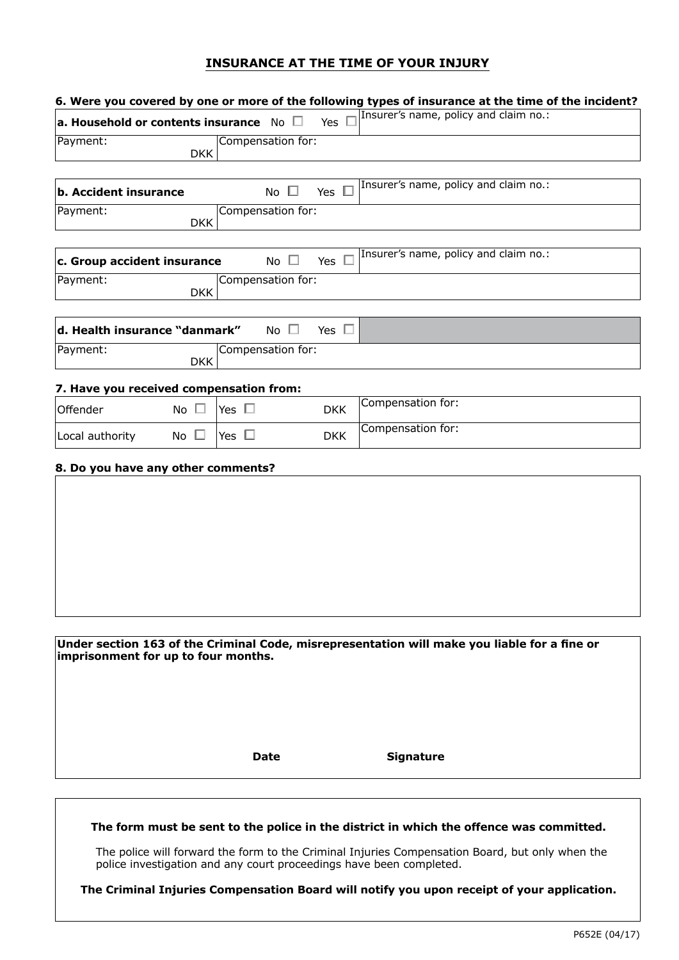# **INSURANCE AT THE TIME OF YOUR INJURY**

| a. Household or contents insurance $\sqrt{N}$ $\Box$<br>Payment:<br><b>b. Accident insurance</b><br>Payment:<br>c. Group accident insurance<br>Payment: | <b>DKK</b><br><b>DKK</b> |               | Compensation for:<br>No $\square$ | Yes $\square$ | Insurer's name, policy and claim no.:                                                        |
|---------------------------------------------------------------------------------------------------------------------------------------------------------|--------------------------|---------------|-----------------------------------|---------------|----------------------------------------------------------------------------------------------|
|                                                                                                                                                         |                          |               |                                   |               |                                                                                              |
|                                                                                                                                                         |                          |               |                                   |               |                                                                                              |
|                                                                                                                                                         |                          |               |                                   |               | Insurer's name, policy and claim no.:                                                        |
|                                                                                                                                                         |                          |               |                                   | Yes $\square$ |                                                                                              |
|                                                                                                                                                         |                          |               | Compensation for:                 |               |                                                                                              |
|                                                                                                                                                         |                          |               | No $\square$                      | Yes $\square$ | Insurer's name, policy and claim no.:                                                        |
|                                                                                                                                                         | <b>DKK</b>               |               | Compensation for:                 |               |                                                                                              |
| d. Health insurance "danmark"                                                                                                                           |                          |               | No $\square$                      | Yes $\square$ |                                                                                              |
| Payment:                                                                                                                                                | <b>DKK</b>               |               | Compensation for:                 |               |                                                                                              |
| 7. Have you received compensation from:                                                                                                                 |                          |               |                                   |               |                                                                                              |
| Offender                                                                                                                                                | No $\square$             | Yes $\square$ |                                   | <b>DKK</b>    | Compensation for:                                                                            |
| Local authority                                                                                                                                         | No $\square$             | Yes $\square$ |                                   | <b>DKK</b>    | Compensation for:                                                                            |
| 8. Do you have any other comments?                                                                                                                      |                          |               |                                   |               |                                                                                              |
|                                                                                                                                                         |                          |               |                                   |               |                                                                                              |
|                                                                                                                                                         |                          |               |                                   |               |                                                                                              |
|                                                                                                                                                         |                          |               |                                   |               |                                                                                              |
|                                                                                                                                                         |                          |               |                                   |               |                                                                                              |
|                                                                                                                                                         |                          |               |                                   |               |                                                                                              |
|                                                                                                                                                         |                          |               |                                   |               |                                                                                              |
|                                                                                                                                                         |                          |               |                                   |               |                                                                                              |
| imprisonment for up to four months.                                                                                                                     |                          |               |                                   |               | Under section 163 of the Criminal Code, misrepresentation will make you liable for a fine or |
|                                                                                                                                                         |                          |               |                                   |               |                                                                                              |
|                                                                                                                                                         |                          |               |                                   |               |                                                                                              |
|                                                                                                                                                         |                          |               |                                   |               |                                                                                              |
|                                                                                                                                                         |                          |               |                                   |               |                                                                                              |
|                                                                                                                                                         |                          |               | <b>Date</b>                       |               | <b>Signature</b>                                                                             |
|                                                                                                                                                         |                          |               |                                   |               |                                                                                              |
|                                                                                                                                                         |                          |               |                                   |               |                                                                                              |

The police will forward the form to the Criminal Injuries Compensation Board, but only when the police investigation and any court proceedings have been completed.

**The Criminal Injuries Compensation Board will notify you upon receipt of your application.**